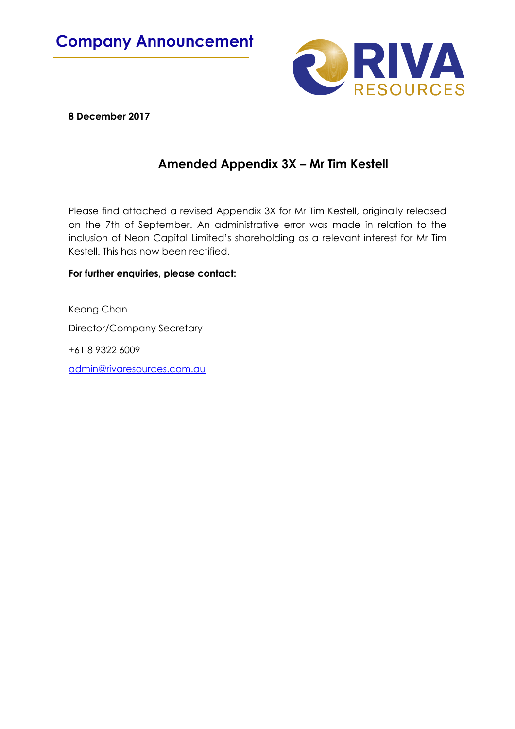

**8 December 2017**

## **Amended Appendix 3X – Mr Tim Kestell**

Please find attached a revised Appendix 3X for Mr Tim Kestell, originally released on the 7th of September. An administrative error was made in relation to the inclusion of Neon Capital Limited's shareholding as a relevant interest for Mr Tim Kestell. This has now been rectified.

### **For further enquiries, please contact:**

Keong Chan Director/Company Secretary +61 8 9322 6009 admin@rivaresources.com.au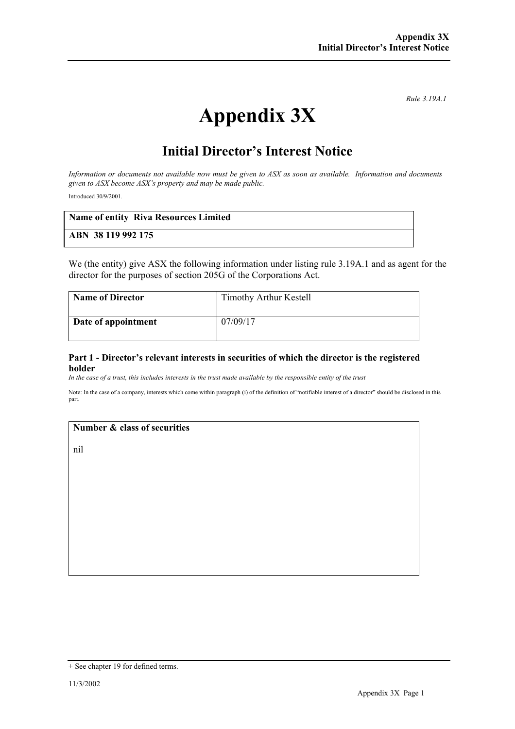*Rule 3.19A.1*

# **Appendix 3X**

## **Initial Director's Interest Notice**

*Information or documents not available now must be given to ASX as soon as available. Information and documents given to ASX become ASX's property and may be made public.*

Introduced 30/9/2001.

| <b>Name of entity Riva Resources Limited</b> |  |
|----------------------------------------------|--|
| ABN 38 119 992 175                           |  |

We (the entity) give ASX the following information under listing rule 3.19A.1 and as agent for the director for the purposes of section 205G of the Corporations Act.

| <b>Name of Director</b> | Timothy Arthur Kestell |
|-------------------------|------------------------|
| Date of appointment     | 07/09/17               |

#### **Part 1 - Director's relevant interests in securities of which the director is the registered holder**

*In the case of a trust, this includes interests in the trust made available by the responsible entity of the trust*

Note: In the case of a company, interests which come within paragraph (i) of the definition of "notifiable interest of a director" should be disclosed in this part.

#### **Number & class of securities**

nil

<sup>+</sup> See chapter 19 for defined terms.